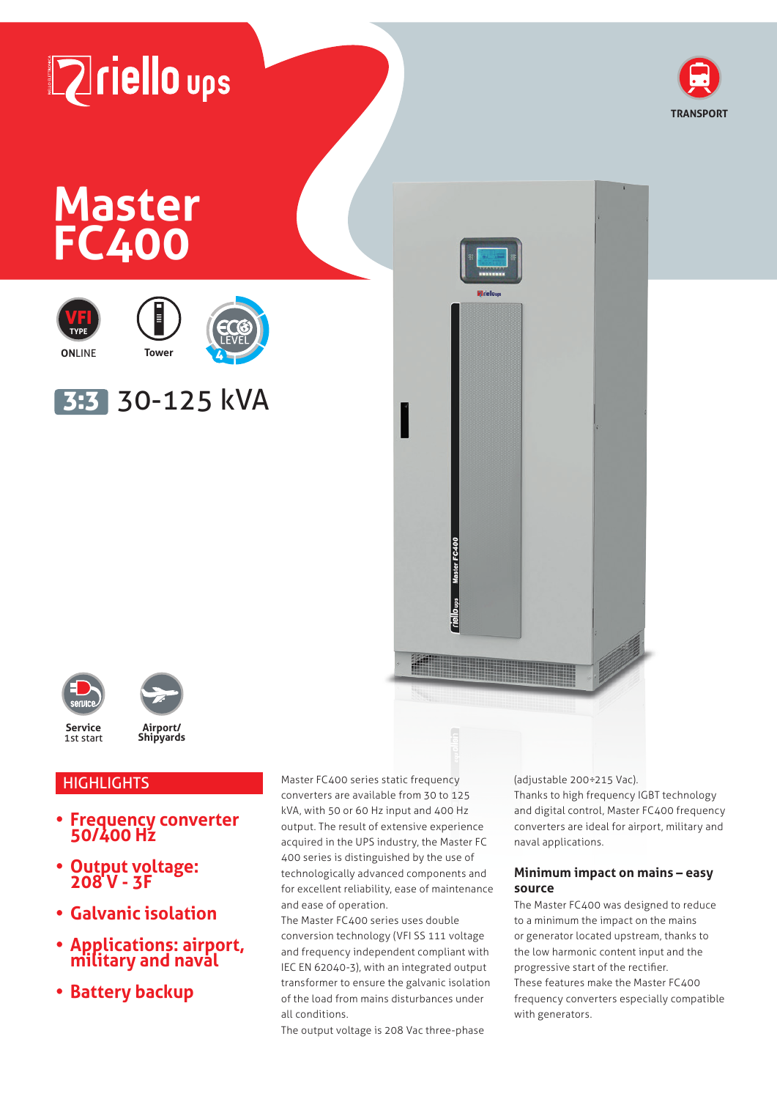# **Zriello** ups



# **Master FC400**









3:3 30-125 kVA







# **HIGHLIGHTS**

- **• Frequency converter 50/400 Hz**
- **• Output voltage: 208 V - 3F**
- **• Galvanic isolation**
- **• Applications: airport, military and naval**
- **• Battery backup**

Master FC400 series static frequency converters are available from 30 to 125 kVA, with 50 or 60 Hz input and 400 Hz output. The result of extensive experience acquired in the UPS industry, the Master FC 400 series is distinguished by the use of technologically advanced components and for excellent reliability, ease of maintenance and ease of operation.

The Master FC400 series uses double conversion technology (VFI SS 111 voltage and frequency independent compliant with IEC EN 62040-3), with an integrated output transformer to ensure the galvanic isolation of the load from mains disturbances under all conditions.

The output voltage is 208 Vac three-phase

(adjustable 200÷215 Vac).

Thanks to high frequency IGBT technology and digital control, Master FC400 frequency converters are ideal for airport, military and naval applications.

#### **Minimum impact on mains – easy source**

The Master FC400 was designed to reduce to a minimum the impact on the mains or generator located upstream, thanks to the low harmonic content input and the progressive start of the rectifier. These features make the Master FC400 frequency converters especially compatible with generators.